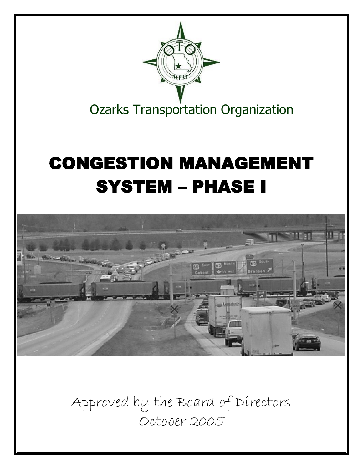

Approved by the Board of Directors October 2005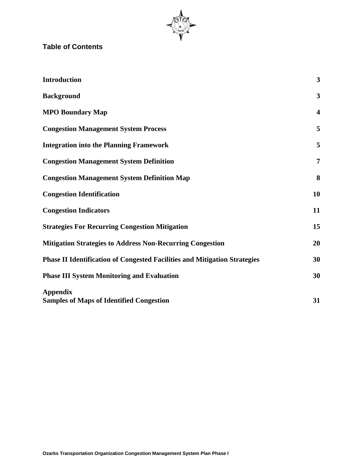

# **Table of Contents**

| <b>Introduction</b>                                                              | $\mathbf{3}$            |
|----------------------------------------------------------------------------------|-------------------------|
| <b>Background</b>                                                                | $\mathbf{3}$            |
| <b>MPO Boundary Map</b>                                                          | $\overline{\mathbf{4}}$ |
| <b>Congestion Management System Process</b>                                      | 5                       |
| <b>Integration into the Planning Framework</b>                                   | 5                       |
| <b>Congestion Management System Definition</b>                                   | $\overline{7}$          |
| <b>Congestion Management System Definition Map</b>                               | 8                       |
| <b>Congestion Identification</b>                                                 | 10                      |
| <b>Congestion Indicators</b>                                                     | 11                      |
| <b>Strategies For Recurring Congestion Mitigation</b>                            | 15                      |
| <b>Mitigation Strategies to Address Non-Recurring Congestion</b>                 | 20                      |
| <b>Phase II Identification of Congested Facilities and Mitigation Strategies</b> | 30                      |
| <b>Phase III System Monitoring and Evaluation</b>                                | 30                      |
| <b>Appendix</b><br><b>Samples of Maps of Identified Congestion</b>               | 31                      |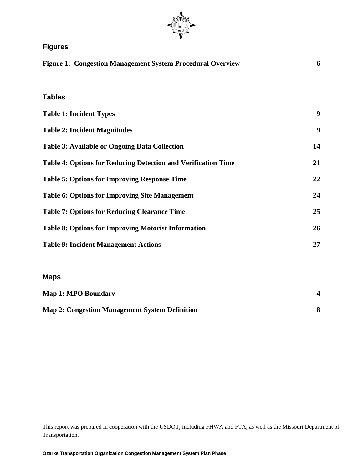

# **Figures**

| <b>Figure 1: Congestion Management System Procedural Overview</b>    | 6                |
|----------------------------------------------------------------------|------------------|
| <b>Tables</b>                                                        |                  |
| <b>Table 1: Incident Types</b>                                       | 9                |
| <b>Table 2: Incident Magnitudes</b>                                  | $\boldsymbol{9}$ |
| <b>Table 3: Available or Ongoing Data Collection</b>                 | 14               |
| <b>Table 4: Options for Reducing Detection and Verification Time</b> | 21               |
| <b>Table 5: Options for Improving Response Time</b>                  | 22               |
| <b>Table 6: Options for Improving Site Management</b>                | 24               |
| <b>Table 7: Options for Reducing Clearance Time</b>                  | 25               |
| <b>Table 8: Options for Improving Motorist Information</b>           | 26               |
| <b>Table 9: Incident Management Actions</b>                          | 27               |
|                                                                      |                  |
|                                                                      |                  |

#### **Maps**

| <b>Map 1: MPO Boundary</b>                            |  |
|-------------------------------------------------------|--|
| <b>Map 2: Congestion Management System Definition</b> |  |

This report was prepared in cooperation with the USDOT, including FHWA and FTA, as well as the Missouri Department of Transportation.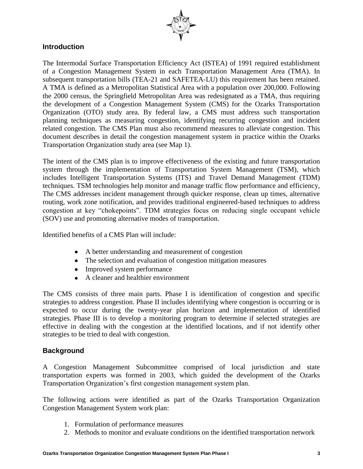

### **Introduction**

The Intermodal Surface Transportation Efficiency Act (ISTEA) of 1991 required establishment of a Congestion Management System in each Transportation Management Area (TMA). In subsequent transportation bills (TEA-21 and SAFETEA-LU) this requirement has been retained. A TMA is defined as a Metropolitan Statistical Area with a population over 200,000. Following the 2000 census, the Springfield Metropolitan Area was redesignated as a TMA, thus requiring the development of a Congestion Management System (CMS) for the Ozarks Transportation Organization (OTO) study area. By federal law, a CMS must address such transportation planning techniques as measuring congestion, identifying recurring congestion and incident related congestion. The CMS Plan must also recommend measures to alleviate congestion. This document describes in detail the congestion management system in practice within the Ozarks Transportation Organization study area (see Map 1).

The intent of the CMS plan is to improve effectiveness of the existing and future transportation system through the implementation of Transportation System Management (TSM), which includes Intelligent Transportation Systems (ITS) and Travel Demand Management (TDM) techniques. TSM technologies help monitor and manage traffic flow performance and efficiency, The CMS addresses incident management through quicker response, clean up times, alternative routing, work zone notification, and provides traditional engineered-based techniques to address congestion at key "chokepoints". TDM strategies focus on reducing single occupant vehicle (SOV) use and promoting alternative modes of transportation.

Identified benefits of a CMS Plan will include:

- A better understanding and measurement of congestion
- The selection and evaluation of congestion mitigation measures
- Improved system performance
- A cleaner and healthier environment

The CMS consists of three main parts. Phase I is identification of congestion and specific strategies to address congestion. Phase II includes identifying where congestion is occurring or is expected to occur during the twenty-year plan horizon and implementation of identified strategies. Phase III is to develop a monitoring program to determine if selected strategies are effective in dealing with the congestion at the identified locations, and if not identify other strategies to be tried to deal with congestion.

### **Background**

A Congestion Management Subcommittee comprised of local jurisdiction and state transportation experts was formed in 2003, which guided the development of the Ozarks Transportation Organization's first congestion management system plan.

The following actions were identified as part of the Ozarks Transportation Organization Congestion Management System work plan:

- 1. Formulation of performance measures
- 2. Methods to monitor and evaluate conditions on the identified transportation network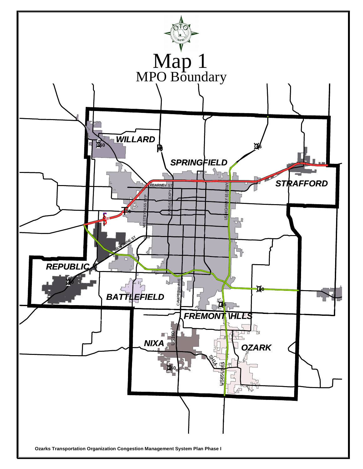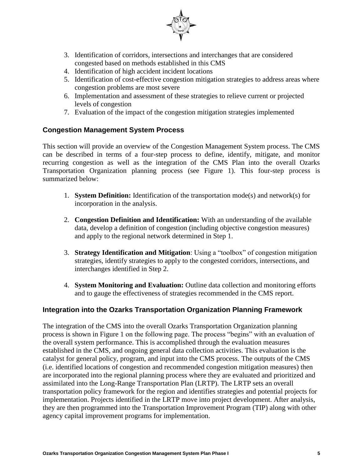

- 3. Identification of corridors, intersections and interchanges that are considered congested based on methods established in this CMS
- 4. Identification of high accident incident locations
- 5. Identification of cost-effective congestion mitigation strategies to address areas where congestion problems are most severe
- 6. Implementation and assessment of these strategies to relieve current or projected levels of congestion
- 7. Evaluation of the impact of the congestion mitigation strategies implemented

### **Congestion Management System Process**

This section will provide an overview of the Congestion Management System process. The CMS can be described in terms of a four-step process to define, identify, mitigate, and monitor recurring congestion as well as the integration of the CMS Plan into the overall Ozarks Transportation Organization planning process (see Figure 1). This four-step process is summarized below:

- 1. **System Definition:** Identification of the transportation mode(s) and network(s) for incorporation in the analysis.
- 2. **Congestion Definition and Identification:** With an understanding of the available data, develop a definition of congestion (including objective congestion measures) and apply to the regional network determined in Step 1.
- 3. **Strategy Identification and Mitigation**: Using a "toolbox" of congestion mitigation strategies, identify strategies to apply to the congested corridors, intersections, and interchanges identified in Step 2.
- 4. **System Monitoring and Evaluation:** Outline data collection and monitoring efforts and to gauge the effectiveness of strategies recommended in the CMS report.

### **Integration into the Ozarks Transportation Organization Planning Framework**

The integration of the CMS into the overall Ozarks Transportation Organization planning process is shown in Figure 1 on the following page. The process "begins" with an evaluation of the overall system performance. This is accomplished through the evaluation measures established in the CMS, and ongoing general data collection activities. This evaluation is the catalyst for general policy, program, and input into the CMS process*.* The outputs of the CMS (i.e. identified locations of congestion and recommended congestion mitigation measures) then are incorporated into the regional planning process where they are evaluated and prioritized and assimilated into the Long-Range Transportation Plan (LRTP). The LRTP sets an overall transportation policy framework for the region and identifies strategies and potential projects for implementation. Projects identified in the LRTP move into project development. After analysis, they are then programmed into the Transportation Improvement Program (TIP) along with other agency capital improvement programs for implementation.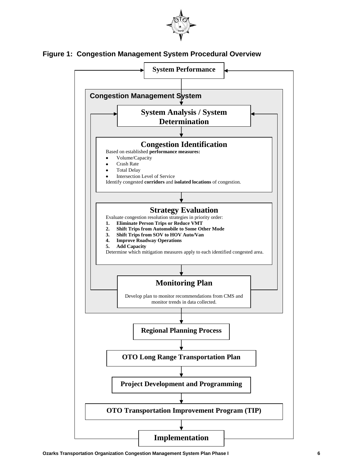

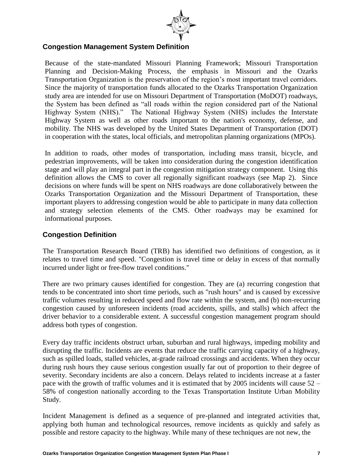

### **Congestion Management System Definition**

Because of the state-mandated Missouri Planning Framework; Missouri Transportation Planning and Decision-Making Process, the emphasis in Missouri and the Ozarks Transportation Organization is the preservation of the region's most important travel corridors. Since the majority of transportation funds allocated to the Ozarks Transportation Organization study area are intended for use on Missouri Department of Transportation (MoDOT) roadways, the System has been defined as "all roads within the region considered part of the National Highway System (NHS)." The National Highway System (NHS) includes the Interstate Highway System as well as other roads important to the nation's economy, defense, and mobility. The NHS was developed by the United States Department of Transportation (DOT) in cooperation with the states, local officials, and metropolitan planning organizations (MPOs).

In addition to roads, other modes of transportation, including mass transit, bicycle, and pedestrian improvements, will be taken into consideration during the congestion identification stage and will play an integral part in the congestion mitigation strategy component. Using this definition allows the CMS to cover all regionally significant roadways (see Map 2). Since decisions on where funds will be spent on NHS roadways are done collaboratively between the Ozarks Transportation Organization and the Missouri Department of Transportation, these important players to addressing congestion would be able to participate in many data collection and strategy selection elements of the CMS. Other roadways may be examined for informational purposes.

### **Congestion Definition**

The Transportation Research Board (TRB) has identified two definitions of congestion, as it relates to travel time and speed. "Congestion is travel time or delay in excess of that normally incurred under light or free-flow travel conditions."

There are two primary causes identified for congestion. They are (a) recurring congestion that tends to be concentrated into short time periods, such as "rush hours" and is caused by excessive traffic volumes resulting in reduced speed and flow rate within the system, and (b) non-recurring congestion caused by unforeseen incidents (road accidents, spills, and stalls) which affect the driver behavior to a considerable extent. A successful congestion management program should address both types of congestion.

Every day traffic incidents obstruct urban, suburban and rural highways, impeding mobility and disrupting the traffic. Incidents are events that reduce the traffic carrying capacity of a highway, such as spilled loads, stalled vehicles, at-grade railroad crossings and accidents. When they occur during rush hours they cause serious congestion usually far out of proportion to their degree of severity. Secondary incidents are also a concern. Delays related to incidents increase at a faster pace with the growth of traffic volumes and it is estimated that by 2005 incidents will cause 52 – 58% of congestion nationally according to the Texas Transportation Institute Urban Mobility Study.

Incident Management is defined as a sequence of pre-planned and integrated activities that, applying both human and technological resources, remove incidents as quickly and safely as possible and restore capacity to the highway. While many of these techniques are not new, the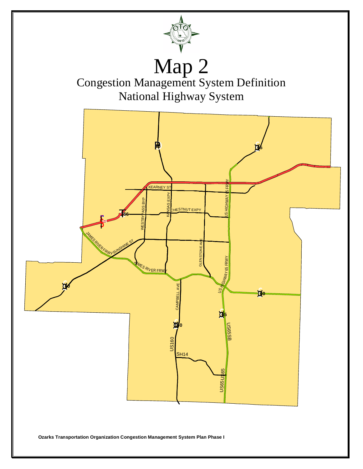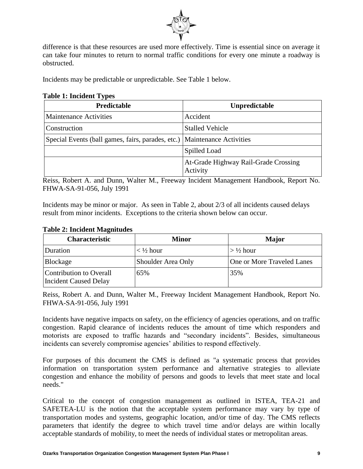

difference is that these resources are used more effectively. Time is essential since on average it can take four minutes to return to normal traffic conditions for every one minute a roadway is obstructed.

Incidents may be predictable or unpredictable. See Table 1 below.

#### **Table 1: Incident Types**

| <b>Predictable</b>                                                       | Unpredictable                                    |
|--------------------------------------------------------------------------|--------------------------------------------------|
| <b>Maintenance Activities</b>                                            | Accident                                         |
| Construction                                                             | <b>Stalled Vehicle</b>                           |
| Special Events (ball games, fairs, parades, etc.) Maintenance Activities |                                                  |
|                                                                          | Spilled Load                                     |
|                                                                          | At-Grade Highway Rail-Grade Crossing<br>Activity |

Reiss, Robert A. and Dunn, Walter M., Freeway Incident Management Handbook, Report No. FHWA-SA-91-056, July 1991

Incidents may be minor or major. As seen in Table 2, about 2/3 of all incidents caused delays result from minor incidents. Exceptions to the criteria shown below can occur.

#### **Table 2: Incident Magnitudes**

| <b>Characteristic</b>                                   | <b>Minor</b>                              | <b>Major</b>               |
|---------------------------------------------------------|-------------------------------------------|----------------------------|
| Duration                                                | $\langle \frac{1}{2} \text{hour} \rangle$ | $>$ 1/2 hour               |
| Blockage                                                | Shoulder Area Only                        | One or More Traveled Lanes |
| Contribution to Overall<br><b>Incident Caused Delay</b> | 65%                                       | 35%                        |

Reiss, Robert A. and Dunn, Walter M., Freeway Incident Management Handbook, Report No. FHWA-SA-91-056, July 1991

Incidents have negative impacts on safety, on the efficiency of agencies operations, and on traffic congestion. Rapid clearance of incidents reduces the amount of time which responders and motorists are exposed to traffic hazards and "secondary incidents". Besides, simultaneous incidents can severely compromise agencies' abilities to respond effectively.

For purposes of this document the CMS is defined as "a systematic process that provides information on transportation system performance and alternative strategies to alleviate congestion and enhance the mobility of persons and goods to levels that meet state and local needs."

Critical to the concept of congestion management as outlined in ISTEA, TEA-21 and SAFETEA-LU is the notion that the acceptable system performance may vary by type of transportation modes and systems, geographic location, and/or time of day. The CMS reflects parameters that identify the degree to which travel time and/or delays are within locally acceptable standards of mobility, to meet the needs of individual states or metropolitan areas.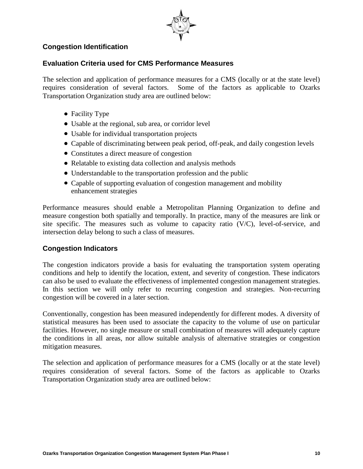

### **Congestion Identification**

## **Evaluation Criteria used for CMS Performance Measures**

The selection and application of performance measures for a CMS (locally or at the state level) requires consideration of several factors. Some of the factors as applicable to Ozarks Transportation Organization study area are outlined below:

- Facility Type
- Usable at the regional, sub area, or corridor level
- Usable for individual transportation projects
- Capable of discriminating between peak period, off-peak, and daily congestion levels
- Constitutes a direct measure of congestion
- Relatable to existing data collection and analysis methods
- Understandable to the transportation profession and the public
- Capable of supporting evaluation of congestion management and mobility enhancement strategies

Performance measures should enable a Metropolitan Planning Organization to define and measure congestion both spatially and temporally. In practice, many of the measures are link or site specific. The measures such as volume to capacity ratio (V/C), level-of-service, and intersection delay belong to such a class of measures.

### **Congestion Indicators**

The congestion indicators provide a basis for evaluating the transportation system operating conditions and help to identify the location, extent, and severity of congestion. These indicators can also be used to evaluate the effectiveness of implemented congestion management strategies. In this section we will only refer to recurring congestion and strategies. Non-recurring congestion will be covered in a later section.

Conventionally, congestion has been measured independently for different modes. A diversity of statistical measures has been used to associate the capacity to the volume of use on particular facilities. However, no single measure or small combination of measures will adequately capture the conditions in all areas, nor allow suitable analysis of alternative strategies or congestion mitigation measures.

The selection and application of performance measures for a CMS (locally or at the state level) requires consideration of several factors. Some of the factors as applicable to Ozarks Transportation Organization study area are outlined below: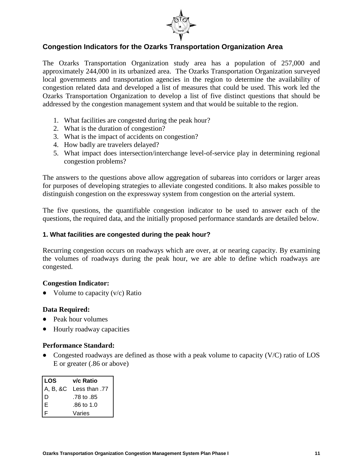

# **Congestion Indicators for the Ozarks Transportation Organization Area**

The Ozarks Transportation Organization study area has a population of 257,000 and approximately 244,000 in its urbanized area. The Ozarks Transportation Organization surveyed local governments and transportation agencies in the region to determine the availability of congestion related data and developed a list of measures that could be used. This work led the Ozarks Transportation Organization to develop a list of five distinct questions that should be addressed by the congestion management system and that would be suitable to the region.

- 1. What facilities are congested during the peak hour?
- 2. What is the duration of congestion?
- 3. What is the impact of accidents on congestion?
- 4. How badly are travelers delayed?
- 5. What impact does intersection/interchange level-of-service play in determining regional congestion problems?

The answers to the questions above allow aggregation of subareas into corridors or larger areas for purposes of developing strategies to alleviate congested conditions. It also makes possible to distinguish congestion on the expressway system from congestion on the arterial system.

The five questions, the quantifiable congestion indicator to be used to answer each of the questions, the required data, and the initially proposed performance standards are detailed below.

#### **1. What facilities are congested during the peak hour?**

Recurring congestion occurs on roadways which are over, at or nearing capacity. By examining the volumes of roadways during the peak hour, we are able to define which roadways are congested.

#### **Congestion Indicator:**

• Volume to capacity  $(v/c)$  Ratio

#### **Data Required:**

- Peak hour volumes
- Hourly roadway capacities

#### **Performance Standard:**

• Congested roadways are defined as those with a peak volume to capacity (V/C) ratio of LOS E or greater (.86 or above)

| <b>LOS</b>                   | v/c Ratio              |
|------------------------------|------------------------|
|                              | A, B, &C Less than .77 |
| ١D                           | .78 to .85             |
| $\left  \frac{E}{E} \right $ | .86 to 1.0             |
|                              | Varies                 |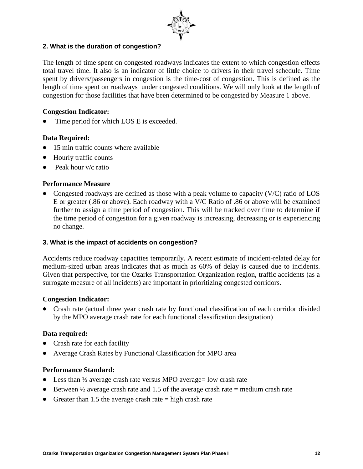

### **2. What is the duration of congestion?**

The length of time spent on congested roadways indicates the extent to which congestion effects total travel time. It also is an indicator of little choice to drivers in their travel schedule. Time spent by drivers/passengers in congestion is the time-cost of congestion. This is defined as the length of time spent on roadways under congested conditions. We will only look at the length of congestion for those facilities that have been determined to be congested by Measure 1 above.

### **Congestion Indicator:**

Time period for which LOS E is exceeded.

### **Data Required:**

- 15 min traffic counts where available
- Hourly traffic counts
- Peak hour v/c ratio  $\bullet$

#### **Performance Measure**

• Congested roadways are defined as those with a peak volume to capacity  $(V/C)$  ratio of LOS E or greater (.86 or above). Each roadway with a V/C Ratio of .86 or above will be examined further to assign a time period of congestion. This will be tracked over time to determine if the time period of congestion for a given roadway is increasing, decreasing or is experiencing no change.

#### **3. What is the impact of accidents on congestion?**

Accidents reduce roadway capacities temporarily. A recent estimate of incident-related delay for medium-sized urban areas indicates that as much as 60% of delay is caused due to incidents. Given that perspective, for the Ozarks Transportation Organization region, traffic accidents (as a surrogate measure of all incidents) are important in prioritizing congested corridors.

#### **Congestion Indicator:**

Crash rate (actual three year crash rate by functional classification of each corridor divided by the MPO average crash rate for each functional classification designation)

#### **Data required:**

- Crash rate for each facility
- Average Crash Rates by Functional Classification for MPO area

#### **Performance Standard:**

- Less than  $\frac{1}{2}$  average crash rate versus MPO average= low crash rate
- $\bullet$  Between  $\frac{1}{2}$  average crash rate and 1.5 of the average crash rate = medium crash rate
- Greater than 1.5 the average crash rate  $=$  high crash rate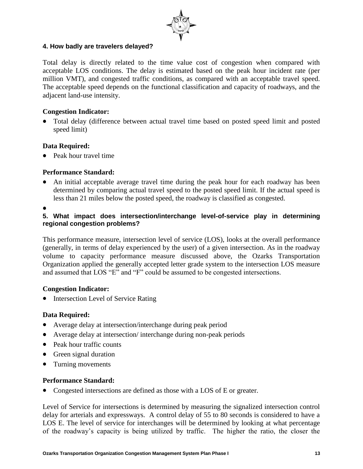

#### **4. How badly are travelers delayed?**

Total delay is directly related to the time value cost of congestion when compared with acceptable LOS conditions. The delay is estimated based on the peak hour incident rate (per million VMT), and congested traffic conditions, as compared with an acceptable travel speed. The acceptable speed depends on the functional classification and capacity of roadways, and the adjacent land-use intensity.

#### **Congestion Indicator:**

Total delay (difference between actual travel time based on posted speed limit and posted speed limit)

#### **Data Required:**

• Peak hour travel time

### **Performance Standard:**

- An initial acceptable average travel time during the peak hour for each roadway has been determined by comparing actual travel speed to the posted speed limit. If the actual speed is less than 21 miles below the posted speed, the roadway is classified as congested.
- 

#### **5. What impact does intersection/interchange level-of-service play in determining regional congestion problems?**

This performance measure, intersection level of service (LOS), looks at the overall performance (generally, in terms of delay experienced by the user) of a given intersection. As in the roadway volume to capacity performance measure discussed above, the Ozarks Transportation Organization applied the generally accepted letter grade system to the intersection LOS measure and assumed that LOS "E" and "F" could be assumed to be congested intersections.

#### **Congestion Indicator:**

• Intersection Level of Service Rating

#### **Data Required:**

- Average delay at intersection/interchange during peak period
- Average delay at intersection/ interchange during non-peak periods
- Peak hour traffic counts
- Green signal duration
- Turning movements

#### **Performance Standard:**

• Congested intersections are defined as those with a LOS of E or greater.

Level of Service for intersections is determined by measuring the signalized intersection control delay for arterials and expressways. A control delay of 55 to 80 seconds is considered to have a LOS E. The level of service for interchanges will be determined by looking at what percentage of the roadway's capacity is being utilized by traffic. The higher the ratio, the closer the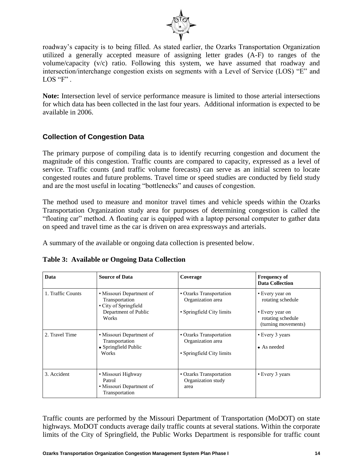

roadway's capacity is to being filled. As stated earlier, the Ozarks Transportation Organization utilized a generally accepted measure of assigning letter grades (A-F) to ranges of the volume/capacity (v/c) ratio. Following this system, we have assumed that roadway and intersection/interchange congestion exists on segments with a Level of Service (LOS) "E" and LOS "F".

**Note:** Intersection level of service performance measure is limited to those arterial intersections for which data has been collected in the last four years. Additional information is expected to be available in 2006.

## **Collection of Congestion Data**

The primary purpose of compiling data is to identify recurring congestion and document the magnitude of this congestion. Traffic counts are compared to capacity, expressed as a level of service. Traffic counts (and traffic volume forecasts) can serve as an initial screen to locate congested routes and future problems. Travel time or speed studies are conducted by field study and are the most useful in locating "bottlenecks" and causes of congestion.

The method used to measure and monitor travel times and vehicle speeds within the Ozarks Transportation Organization study area for purposes of determining congestion is called the "floating car" method. A floating car is equipped with a laptop personal computer to gather data on speed and travel time as the car is driven on area expressways and arterials.

A summary of the available or ongoing data collection is presented below.

| Data              | <b>Source of Data</b>                                                                                | Coverage                                                                  | <b>Frequency of</b><br><b>Data Collection</b>                                                       |
|-------------------|------------------------------------------------------------------------------------------------------|---------------------------------------------------------------------------|-----------------------------------------------------------------------------------------------------|
| 1. Traffic Counts | • Missouri Department of<br>Transportation<br>• City of Springfield<br>Department of Public<br>Works | • Ozarks Transportation<br>Organization area<br>• Springfield City limits | • Every year on<br>rotating schedule<br>• Every year on<br>rotating schedule<br>(turning movements) |
| 2. Travel Time    | • Missouri Department of<br>Transportation<br>• Springfield Public<br>Works                          | • Ozarks Transportation<br>Organization area<br>• Springfield City limits | • Every 3 years<br>$\bullet$ As needed                                                              |
| 3. Accident       | • Missouri Highway<br>Patrol<br>• Missouri Department of<br>Transportation                           | • Ozarks Transportation<br>Organization study<br>area                     | • Every 3 years                                                                                     |

**Table 3: Available or Ongoing Data Collection**

Traffic counts are performed by the Missouri Department of Transportation (MoDOT) on state highways. MoDOT conducts average daily traffic counts at several stations. Within the corporate limits of the City of Springfield, the Public Works Department is responsible for traffic count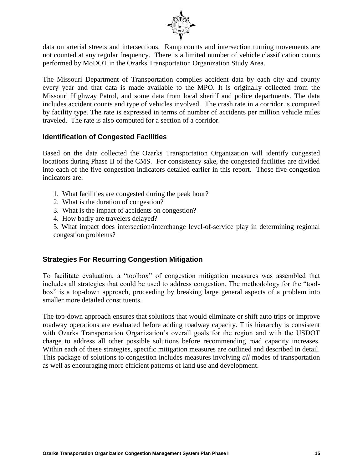

data on arterial streets and intersections. Ramp counts and intersection turning movements are not counted at any regular frequency. There is a limited number of vehicle classification counts performed by MoDOT in the Ozarks Transportation Organization Study Area.

The Missouri Department of Transportation compiles accident data by each city and county every year and that data is made available to the MPO. It is originally collected from the Missouri Highway Patrol, and some data from local sheriff and police departments. The data includes accident counts and type of vehicles involved. The crash rate in a corridor is computed by facility type. The rate is expressed in terms of number of accidents per million vehicle miles traveled. The rate is also computed for a section of a corridor.

### **Identification of Congested Facilities**

Based on the data collected the Ozarks Transportation Organization will identify congested locations during Phase II of the CMS. For consistency sake, the congested facilities are divided into each of the five congestion indicators detailed earlier in this report. Those five congestion indicators are:

- 1. What facilities are congested during the peak hour?
- 2. What is the duration of congestion?
- 3. What is the impact of accidents on congestion?
- 4. How badly are travelers delayed?

5. What impact does intersection/interchange level-of-service play in determining regional congestion problems?

#### **Strategies For Recurring Congestion Mitigation**

To facilitate evaluation, a "toolbox" of congestion mitigation measures was assembled that includes all strategies that could be used to address congestion. The methodology for the "toolbox" is a top-down approach, proceeding by breaking large general aspects of a problem into smaller more detailed constituents.

The top-down approach ensures that solutions that would eliminate or shift auto trips or improve roadway operations are evaluated before adding roadway capacity. This hierarchy is consistent with Ozarks Transportation Organization's overall goals for the region and with the USDOT charge to address all other possible solutions before recommending road capacity increases. Within each of these strategies, specific mitigation measures are outlined and described in detail. This package of solutions to congestion includes measures involving *all* modes of transportation as well as encouraging more efficient patterns of land use and development.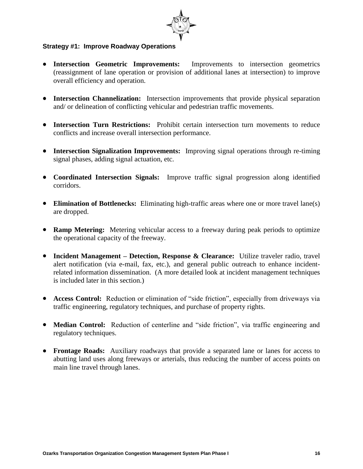

#### **Strategy #1: Improve Roadway Operations**

- **Intersection Geometric Improvements:** Improvements to intersection geometrics (reassignment of lane operation or provision of additional lanes at intersection) to improve overall efficiency and operation.
- **•** Intersection Channelization: Intersection improvements that provide physical separation and/ or delineation of conflicting vehicular and pedestrian traffic movements.
- **Intersection Turn Restrictions:** Prohibit certain intersection turn movements to reduce conflicts and increase overall intersection performance.
- **Intersection Signalization Improvements:** Improving signal operations through re-timing signal phases, adding signal actuation, etc.
- **Coordinated Intersection Signals:** Improve traffic signal progression along identified corridors.
- **Elimination of Bottlenecks:** Eliminating high-traffic areas where one or more travel lane(s) are dropped.
- **Ramp Metering:** Metering vehicular access to a freeway during peak periods to optimize the operational capacity of the freeway.
- **Incident Management Detection, Response & Clearance:** Utilize traveler radio, travel alert notification (via e-mail, fax, etc.), and general public outreach to enhance incidentrelated information dissemination. (A more detailed look at incident management techniques is included later in this section.)
- **Access Control:** Reduction or elimination of "side friction", especially from driveways via traffic engineering, regulatory techniques, and purchase of property rights.
- **Median Control:** Reduction of centerline and "side friction", via traffic engineering and regulatory techniques.
- **Frontage Roads:** Auxiliary roadways that provide a separated lane or lanes for access to abutting land uses along freeways or arterials, thus reducing the number of access points on main line travel through lanes.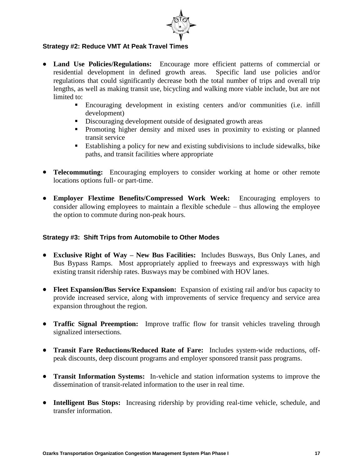

#### **Strategy #2: Reduce VMT At Peak Travel Times**

- **Land Use Policies/Regulations:** Encourage more efficient patterns of commercial or residential development in defined growth areas. Specific land use policies and/or regulations that could significantly decrease both the total number of trips and overall trip lengths, as well as making transit use, bicycling and walking more viable include, but are not limited to:
	- Encouraging development in existing centers and/or communities (i.e. infill development)
	- Discouraging development outside of designated growth areas
	- Promoting higher density and mixed uses in proximity to existing or planned transit service
	- Establishing a policy for new and existing subdivisions to include sidewalks, bike paths, and transit facilities where appropriate
- **Telecommuting:** Encouraging employers to consider working at home or other remote locations options full- or part-time.
- **Employer Flextime Benefits/Compressed Work Week:** Encouraging employers to consider allowing employees to maintain a flexible schedule – thus allowing the employee the option to commute during non-peak hours.

#### **Strategy #3: Shift Trips from Automobile to Other Modes**

- **Exclusive Right of Way – New Bus Facilities:** Includes Busways, Bus Only Lanes, and Bus Bypass Ramps. Most appropriately applied to freeways and expressways with high existing transit ridership rates. Busways may be combined with HOV lanes.
- **Fleet Expansion/Bus Service Expansion:** Expansion of existing rail and/or bus capacity to provide increased service, along with improvements of service frequency and service area expansion throughout the region.
- **Traffic Signal Preemption:** Improve traffic flow for transit vehicles traveling through signalized intersections.
- **Transit Fare Reductions/Reduced Rate of Fare:** Includes system-wide reductions, offpeak discounts, deep discount programs and employer sponsored transit pass programs.
- **Transit Information Systems:** In-vehicle and station information systems to improve the dissemination of transit-related information to the user in real time.
- **Intelligent Bus Stops:** Increasing ridership by providing real-time vehicle, schedule, and transfer information.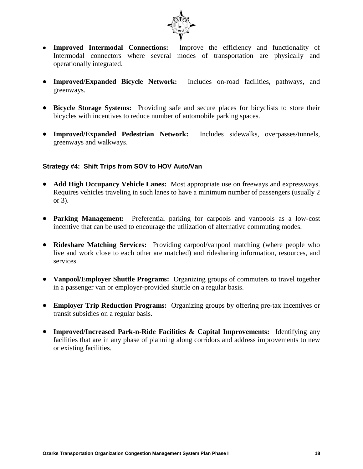

- **Improved Intermodal Connections:** Improve the efficiency and functionality of Intermodal connectors where several modes of transportation are physically and operationally integrated.
- **Improved/Expanded Bicycle Network:** Includes on-road facilities, pathways, and greenways.
- **Bicycle Storage Systems:** Providing safe and secure places for bicyclists to store their bicycles with incentives to reduce number of automobile parking spaces.
- **Improved/Expanded Pedestrian Network:** Includes sidewalks, overpasses/tunnels, greenways and walkways.

#### **Strategy #4: Shift Trips from SOV to HOV Auto/Van**

- **Add High Occupancy Vehicle Lanes:** Most appropriate use on freeways and expressways. Requires vehicles traveling in such lanes to have a minimum number of passengers (usually 2 or 3).
- **Parking Management:** Preferential parking for carpools and vanpools as a low-cost incentive that can be used to encourage the utilization of alternative commuting modes.
- **Rideshare Matching Services:** Providing carpool/vanpool matching (where people who live and work close to each other are matched) and ridesharing information, resources, and services.
- Vanpool/Employer Shuttle Programs: Organizing groups of commuters to travel together in a passenger van or employer-provided shuttle on a regular basis.
- **Employer Trip Reduction Programs:** Organizing groups by offering pre-tax incentives or transit subsidies on a regular basis.
- **Improved/Increased Park-n-Ride Facilities & Capital Improvements:** Identifying any facilities that are in any phase of planning along corridors and address improvements to new or existing facilities.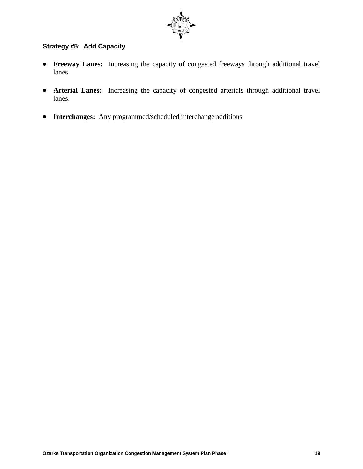

### **Strategy #5: Add Capacity**

- **Freeway Lanes:** Increasing the capacity of congested freeways through additional travel lanes.
- **Arterial Lanes:** Increasing the capacity of congested arterials through additional travel lanes.
- **Interchanges:** Any programmed/scheduled interchange additions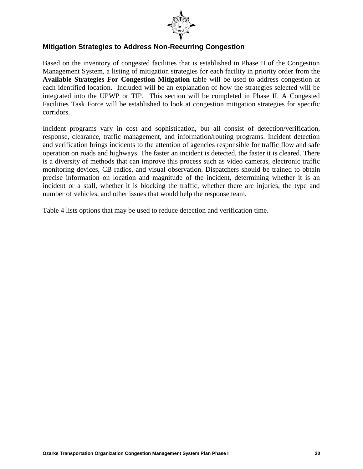

### **Mitigation Strategies to Address Non-Recurring Congestion**

Based on the inventory of congested facilities that is established in Phase II of the Congestion Management System, a listing of mitigation strategies for each facility in priority order from the **Available Strategies For Congestion Mitigation** table will be used to address congestion at each identified location. Included will be an explanation of how the strategies selected will be integrated into the UPWP or TIP. This section will be completed in Phase II. A Congested Facilities Task Force will be established to look at congestion mitigation strategies for specific corridors.

Incident programs vary in cost and sophistication, but all consist of detection/verification, response, clearance, traffic management, and information/routing programs. Incident detection and verification brings incidents to the attention of agencies responsible for traffic flow and safe operation on roads and highways. The faster an incident is detected, the faster it is cleared. There is a diversity of methods that can improve this process such as video cameras, electronic traffic monitoring devices, CB radios, and visual observation. Dispatchers should be trained to obtain precise information on location and magnitude of the incident, determining whether it is an incident or a stall, whether it is blocking the traffic, whether there are injuries, the type and number of vehicles, and other issues that would help the response team.

Table 4 lists options that may be used to reduce detection and verification time.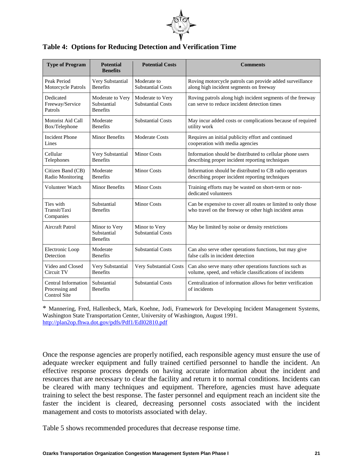

|  |  | <b>Table 4: Options for Reducing Detection and Verification Time</b> |  |
|--|--|----------------------------------------------------------------------|--|
|  |  |                                                                      |  |

| <b>Type of Program</b>                                       | <b>Potential</b><br><b>Benefits</b>                | <b>Potential Costs</b><br><b>Comments</b>    |                                                                                                                         |
|--------------------------------------------------------------|----------------------------------------------------|----------------------------------------------|-------------------------------------------------------------------------------------------------------------------------|
| Peak Period<br>Motorcycle Patrols                            | Very Substantial<br><b>Benefits</b>                | Moderate to<br><b>Substantial Costs</b>      | Roving motorcycle patrols can provide added surveillance<br>along high incident segments on freeway                     |
| Dedicated<br>Freeway/Service<br>Patrols                      | Moderate to Very<br>Substantial<br><b>Benefits</b> | Moderate to Very<br><b>Substantial Costs</b> | Roving patrols along high incident segments of the freeway<br>can serve to reduce incident detection times              |
| Motorist Aid Call<br>Box/Telephone                           | Moderate<br><b>Benefits</b>                        | <b>Substantial Costs</b>                     | May incur added costs or complications because of required<br>utility work                                              |
| <b>Incident Phone</b><br>Lines                               | <b>Minor Benefits</b>                              | <b>Moderate Costs</b>                        | Requires an initial publicity effort and continued<br>cooperation with media agencies                                   |
| Cellular<br>Telephones                                       | Very Substantial<br><b>Benefits</b>                | <b>Minor Costs</b>                           | Information should be distributed to cellular phone users<br>describing proper incident reporting techniques            |
| Citizen Band (CB)<br>Radio Monitoring                        | Moderate<br><b>Benefits</b>                        | <b>Minor Costs</b>                           | Information should be distributed to CB radio operators<br>describing proper incident reporting techniques              |
| Volunteer Watch                                              | <b>Minor Benefits</b>                              | <b>Minor Costs</b>                           | Training efforts may be wasted on short-term or non-<br>dedicated volunteers                                            |
| Ties with<br>Transit/Taxi<br>Companies                       | Substantial<br><b>Benefits</b>                     | <b>Minor Costs</b>                           | Can be expensive to cover all routes or limited to only those<br>who travel on the freeway or other high incident areas |
| Aircraft Patrol                                              | Minor to Very<br>Substantial<br><b>Benefits</b>    | Minor to Very<br><b>Substantial Costs</b>    | May be limited by noise or density restrictions                                                                         |
| Electronic Loop<br>Detection                                 | Moderate<br><b>Benefits</b>                        | <b>Substantial Costs</b>                     | Can also serve other operations functions, but may give<br>false calls in incident detection                            |
| Video and Closed<br>Circuit TV                               | Very Substantial<br><b>Benefits</b>                | Very Substantial Costs                       | Can also serve many other operations functions such as<br>volume, speed, and vehicle classifications of incidents       |
| Central Information<br>Processing and<br><b>Control Site</b> | Substantial<br><b>Benefits</b>                     | <b>Substantial Costs</b>                     | Centralization of information allows for better verification<br>of incidents                                            |

\* Mannering, Fred, Hallenbeck, Mark, Koehne, Jodi, Framework for Developing Incident Management Systems, Washington State Transportation Center, University of Washington, August 1991. <http://plan2op.fhwa.dot.gov/pdfs/Pdf1/Edl02810.pdf>

Once the response agencies are properly notified, each responsible agency must ensure the use of adequate wrecker equipment and fully trained certified personnel to handle the incident. An effective response process depends on having accurate information about the incident and resources that are necessary to clear the facility and return it to normal conditions. Incidents can be cleared with many techniques and equipment. Therefore, agencies must have adequate training to select the best response. The faster personnel and equipment reach an incident site the faster the incident is cleared, decreasing personnel costs associated with the incident management and costs to motorists associated with delay.

Table 5 shows recommended procedures that decrease response time.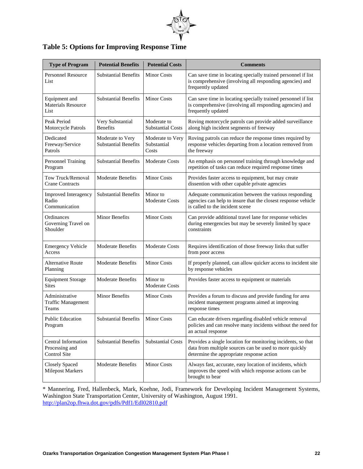

| <b>Table 5: Options for Improving Response Time</b> |  |  |  |  |
|-----------------------------------------------------|--|--|--|--|
|-----------------------------------------------------|--|--|--|--|

| <b>Type of Program</b>                                | <b>Potential Benefits</b>                       | <b>Potential Costs</b>                   | <b>Comments</b>                                                                                                                                                     |
|-------------------------------------------------------|-------------------------------------------------|------------------------------------------|---------------------------------------------------------------------------------------------------------------------------------------------------------------------|
| <b>Personnel Resource</b><br>List                     | <b>Substantial Benefits</b>                     | <b>Minor Costs</b>                       | Can save time in locating specially trained personnel if list<br>is comprehensive (involving all responding agencies) and<br>frequently updated                     |
| Equipment and<br><b>Materials Resource</b><br>List    | <b>Substantial Benefits</b>                     | <b>Minor Costs</b>                       | Can save time in locating specially trained personnel if list<br>is comprehensive (involving all responding agencies) and<br>frequently updated                     |
| Peak Period<br>Motorcycle Patrols                     | Very Substantial<br><b>Benefits</b>             | Moderate to<br><b>Substantial Costs</b>  | Roving motorcycle patrols can provide added surveillance<br>along high incident segments of freeway                                                                 |
| Dedicated<br>Freeway/Service<br>Patrols               | Moderate to Very<br><b>Substantial Benefits</b> | Moderate to Very<br>Substantial<br>Costs | Roving patrols can reduce the response times required by<br>response vehicles departing from a location removed from<br>the freeway                                 |
| Personnel Training<br>Program                         | <b>Substantial Benefits</b>                     | <b>Moderate Costs</b>                    | An emphasis on personnel training through knowledge and<br>repetition of tasks can reduce required response times                                                   |
| Tow Truck/Removal<br><b>Crane Contracts</b>           | <b>Moderate Benefits</b>                        | <b>Minor Costs</b>                       | Provides faster access to equipment, but may create<br>dissention with other capable private agencies                                                               |
| Improved Interagency<br>Radio<br>Communication        | <b>Substantial Benefits</b>                     | Minor to<br>Moderate Costs               | Adequate communication between the various responding<br>agencies can help to insure that the closest response vehicle<br>is called to the incident scene           |
| Ordinances<br>Governing Travel on<br>Shoulder         | <b>Minor Benefits</b>                           | <b>Minor Costs</b>                       | Can provide additional travel lane for response vehicles<br>during emergencies but may be severely limited by space<br>constraints                                  |
| <b>Emergency Vehicle</b><br>Access                    | <b>Moderate Benefits</b>                        | <b>Moderate Costs</b>                    | Requires identification of those freeway links that suffer<br>from poor access                                                                                      |
| <b>Alternative Route</b><br>Planning                  | <b>Moderate Benefits</b>                        | <b>Minor Costs</b>                       | If properly planned, can allow quicker access to incident site<br>by response vehicles                                                                              |
| <b>Equipment Storage</b><br><b>Sites</b>              | <b>Moderate Benefits</b>                        | Minor to<br><b>Moderate Costs</b>        | Provides faster access to equipment or materials                                                                                                                    |
| Administrative<br><b>Traffic Management</b><br>Teams  | <b>Minor Benefits</b>                           | <b>Minor Costs</b>                       | Provides a forum to discuss and provide funding for area<br>incident management programs aimed at improving<br>response times                                       |
| <b>Public Education</b><br>Program                    | <b>Substantial Benefits</b>                     | <b>Minor Costs</b>                       | Can educate drivers regarding disabled vehicle removal<br>policies and can resolve many incidents without the need for<br>an actual response                        |
| Central Information<br>Processing and<br>Control Site | <b>Substantial Benefits</b>                     | <b>Substantial Costs</b>                 | Provides a single location for monitoring incidents, so that<br>data from multiple sources can be used to more quickly<br>determine the appropriate response action |
| <b>Closely Spaced</b><br><b>Milepost Markers</b>      | <b>Moderate Benefits</b>                        | <b>Minor Costs</b>                       | Always fast, accurate, easy location of incidents, which<br>improves the speed with which response actions can be<br>brought to bear                                |

\* Mannering, Fred, Hallenbeck, Mark, Koehne, Jodi, Framework for Developing Incident Management Systems, Washington State Transportation Center, University of Washington, August 1991. <http://plan2op.fhwa.dot.gov/pdfs/Pdf1/Edl02810.pdf>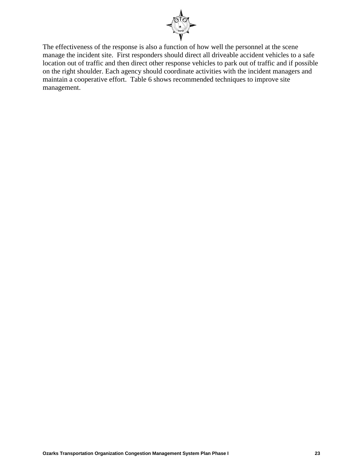

The effectiveness of the response is also a function of how well the personnel at the scene manage the incident site. First responders should direct all driveable accident vehicles to a safe location out of traffic and then direct other response vehicles to park out of traffic and if possible on the right shoulder. Each agency should coordinate activities with the incident managers and maintain a cooperative effort. Table 6 shows recommended techniques to improve site management.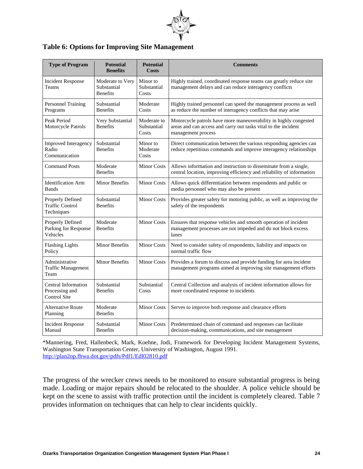

#### **Table 6: Options for Improving Site Management**

| <b>Type of Program</b>                                      | <b>Potential</b><br><b>Benefits</b>                | <b>Potential</b><br><b>Costs</b>    | <b>Comments</b>                                                                                                                                          |
|-------------------------------------------------------------|----------------------------------------------------|-------------------------------------|----------------------------------------------------------------------------------------------------------------------------------------------------------|
| <b>Incident Response</b><br>Teams                           | Moderate to Very<br>Substantial<br><b>Benefits</b> | Minor to<br>Substantial<br>Costs    | Highly trained, coordinated response teams can greatly reduce site<br>management delays and can reduce interagency conflicts                             |
| Personnel Training<br>Programs                              | Substantial<br><b>Benefits</b>                     | Moderate<br>Costs                   | Highly trained personnel can speed the management process as well<br>as reduce the number of interagency conflicts that may arise                        |
| Peak Period<br>Motorcycle Patrols                           | Very Substantial<br><b>Benefits</b>                | Moderate to<br>Substantial<br>Costs | Motorcycle patrols have more maneuverability in highly congested<br>areas and can access and carry out tasks vital to the incident<br>management process |
| Improved Interagency<br>Radio<br>Communication              | Substantial<br><b>Benefits</b>                     | Minor to<br>Moderate<br>Costs       | Direct communication between the various responding agencies can<br>reduce repetitious commands and improve interagency relationships                    |
| <b>Command Posts</b>                                        | Moderate<br><b>Benefits</b>                        | <b>Minor Costs</b>                  | Allows information and instruction to disseminate from a single,<br>central location, improving efficiency and reliability of information                |
| <b>Identification Arm</b><br><b>Bands</b>                   | <b>Minor Benefits</b>                              | <b>Minor Costs</b>                  | Allows quick differentiation between respondents and public or<br>media personnel who may also be present                                                |
| Properly Defined<br><b>Traffic Control</b><br>Techniques    | Substantial<br><b>Benefits</b>                     | <b>Minor Costs</b>                  | Provides greater safety for motoring public, as well as improving the<br>safety of the respondents                                                       |
| <b>Properly Defined</b><br>Parking for Response<br>Vehicles | Moderate<br><b>Benefits</b>                        | <b>Minor Costs</b>                  | Ensures that response vehicles and smooth operation of incident<br>management processes are not impeded and do not block excess<br>lanes                 |
| <b>Flashing Lights</b><br>Policy                            | <b>Minor Benefits</b>                              | <b>Minor Costs</b>                  | Need to consider safety of respondents, liability and impacts on<br>normal traffic flow                                                                  |
| Administrative<br><b>Traffic Management</b><br>Team         | <b>Minor Benefits</b>                              | <b>Minor Costs</b>                  | Provides a forum to discuss and provide funding for area incident<br>management programs aimed at improving site management efforts                      |
| Central Information<br>Processing and<br>Control Site       | Substantial<br><b>Benefits</b>                     | Substantial<br>Costs                | Central Collection and analysis of incident information allows for<br>more coordinated response to incidents                                             |
| <b>Alternative Route</b><br>Planning                        | Moderate<br><b>Benefits</b>                        | <b>Minor Costs</b>                  | Serves to improve both response and clearance efforts                                                                                                    |
| <b>Incident Response</b><br>Manual                          | Substantial<br><b>Benefits</b>                     | <b>Minor Costs</b>                  | Predetermined chain of command and responses can facilitate<br>decision-making, communications, and site management                                      |

\*Mannering, Fred, Hallenbeck, Mark, Koehne, Jodi, Framework for Developing Incident Management Systems, Washington State Transportation Center, University of Washington, August 1991. <http://plan2op.fhwa.dot.gov/pdfs/Pdf1/Edl02810.pdf>

The progress of the wrecker crews needs to be monitored to ensure substantial progress is being made. Loading or major repairs should be relocated to the shoulder. A police vehicle should be kept on the scene to assist with traffic protection until the incident is completely cleared. Table 7 provides information on techniques that can help to clear incidents quickly.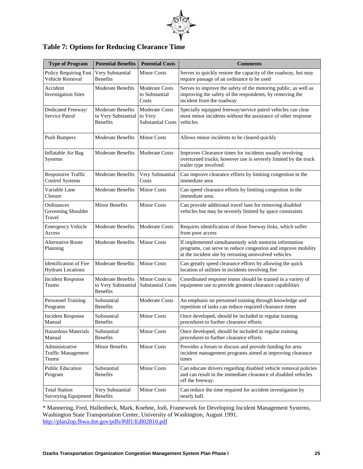

|  |  |  | <b>Table 7: Options for Reducing Clearance Time</b> |
|--|--|--|-----------------------------------------------------|
|--|--|--|-----------------------------------------------------|

| <b>Type of Program</b>                                    | <b>Potential Benefits</b>                                          | <b>Potential Costs</b>                                       | <b>Comments</b>                                                                                                                                                                    |
|-----------------------------------------------------------|--------------------------------------------------------------------|--------------------------------------------------------------|------------------------------------------------------------------------------------------------------------------------------------------------------------------------------------|
| Policy Requiring Fast<br>Vehicle Removal                  | Very Substantial<br><b>Benefits</b>                                | <b>Minor Costs</b>                                           | Serves to quickly restore the capacity of the roadway, but may<br>require passage of an ordinance to be used                                                                       |
| Accident<br><b>Investigation Sites</b>                    | <b>Moderate Benefits</b>                                           | <b>Moderate Costs</b><br>to Substantial<br>Costs             | Serves to improve the safety of the motoring public, as well as<br>improving the safety of the respondents, by removing the<br>incident from the roadway                           |
| Dedicated Freeway/<br>Service Patrol                      | <b>Moderate Benefits</b><br>to Very Substantial<br><b>Benefits</b> | <b>Moderate Costs</b><br>to Very<br><b>Substantial Costs</b> | Specially equipped freeway/service patrol vehicles can clear<br>most minor incidents without the assistance of other response<br>vehicles                                          |
| <b>Push Bumpers</b>                                       | <b>Moderate Benefits</b>                                           | <b>Minor Costs</b>                                           | Allows minor incidents to be cleared quickly                                                                                                                                       |
| Inflatable Air Bag<br>Systems                             | <b>Moderate Benefits</b>                                           | <b>Moderate Costs</b>                                        | Improves Clearance times for incidents usually involving<br>overturned trucks; however use is severely limited by the truck<br>trailer type involved.                              |
| Responsive Traffic<br><b>Control Systems</b>              | <b>Moderate Benefits</b>                                           | Very Substantial<br>Costs                                    | Can improve clearance efforts by limiting congestion in the<br>immediate area                                                                                                      |
| Variable Lane<br>Closure                                  | <b>Moderate Benefits</b>                                           | <b>Minor Costs</b>                                           | Can speed clearance efforts by limiting congestion in the<br>immediate area.                                                                                                       |
| Ordinances<br>Governing Shoulder<br>Travel                | Minor Benefits                                                     | <b>Minor Costs</b>                                           | Can provide additional travel lane for removing disabled<br>vehicles but may be severely limited by space constraints                                                              |
| <b>Emergency Vehicle</b><br>Access                        | <b>Moderate Benefits</b>                                           | <b>Moderate Costs</b>                                        | Requires identification of those freeway links, which suffer<br>from poor access                                                                                                   |
| Alternative Route<br>Planning                             | <b>Moderate Benefits</b>                                           | <b>Minor Costs</b>                                           | If implemented simultaneously with motorist information<br>programs, can serve to reduce congestion and improve mobility<br>at the incident site by rerouting uninvolved vehicles. |
| <b>Identification of Fire</b><br><b>Hydrant Locations</b> | <b>Moderate Benefits</b>                                           | <b>Minor Costs</b>                                           | Can greatly speed clearance efforts by allowing the quick<br>location of utilities in incidents involving fire                                                                     |
| <b>Incident Response</b><br>Teams                         | <b>Moderate Benefits</b><br>to Very Substantial<br><b>Benefits</b> | Minor Costs to<br><b>Substantial Costs</b>                   | Coordinated response teams should be trained in a variety of<br>equipment use to provide greatest clearance capabilities                                                           |
| Personnel Training<br>Programs                            | Substantial<br><b>Benefits</b>                                     | <b>Moderate Costs</b>                                        | An emphasis on personnel training through knowledge and<br>repetition of tasks can reduce required clearance times                                                                 |
| <b>Incident Response</b><br>Manual                        | Substantial<br><b>Benefits</b>                                     | <b>Minor Costs</b>                                           | Once developed, should be included in regular training<br>procedures to further clearance efforts                                                                                  |
| Hazardous Materials<br>Manual                             | Substantial<br><b>Benefits</b>                                     | <b>Minor Costs</b>                                           | Once developed, should be included in regular training<br>procedures to further clearance efforts                                                                                  |
| Administrative<br><b>Traffic Management</b><br>Teams      | Minor Benefits                                                     | <b>Minor Costs</b>                                           | Provides a forum to discuss and provide funding for area<br>incident management programs aimed at improving clearance<br>times                                                     |
| <b>Public Education</b><br>Program                        | Substantial<br><b>Benefits</b>                                     | <b>Minor Costs</b>                                           | Can educate drivers regarding disabled vehicle removal policies<br>and can result in the immediate clearance of disabled vehicles<br>off the freeway.                              |
| <b>Total Station</b><br><b>Surveying Equipment</b>        | Very Substantial<br><b>Benefits</b>                                | <b>Minor Costs</b>                                           | Can reduce the time required for accident investigation by<br>nearly half.                                                                                                         |

\* Mannering, Fred, Hallenbeck, Mark, Koehne, Jodi, Framework for Developing Incident Management Systems, Washington State Transportation Center, University of Washington, August 1991. <http://plan2op.fhwa.dot.gov/pdfs/Pdf1/Edl02810.pdf>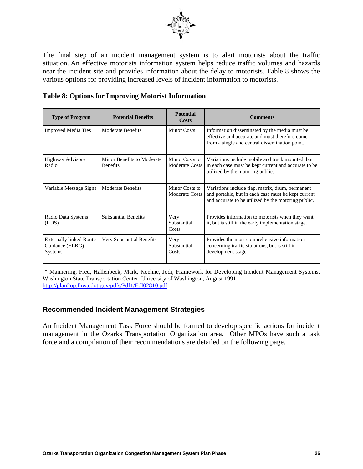

The final step of an incident management system is to alert motorists about the traffic situation. An effective motorists information system helps reduce traffic volumes and hazards near the incident site and provides information about the delay to motorists. Table 8 shows the various options for providing increased levels of incident information to motorists.

|  |  | <b>Table 8: Options for Improving Motorist Information</b> |
|--|--|------------------------------------------------------------|
|  |  |                                                            |

| <b>Type of Program</b>                                       | <b>Potential Benefits</b>                     | <b>Potential</b><br>Costs               | <b>Comments</b>                                                                                                                                                |
|--------------------------------------------------------------|-----------------------------------------------|-----------------------------------------|----------------------------------------------------------------------------------------------------------------------------------------------------------------|
| <b>Improved Media Ties</b>                                   | Moderate Benefits                             | Minor Costs                             | Information disseminated by the media must be.<br>effective and accurate and must therefore come<br>from a single and central dissemination point.             |
| <b>Highway Advisory</b><br>Radio                             | Minor Benefits to Moderate<br><b>Benefits</b> | Minor Costs to<br><b>Moderate Costs</b> | Variations include mobile and truck mounted, but<br>in each case must be kept current and accurate to be<br>utilized by the motoring public.                   |
| Variable Message Signs                                       | <b>Moderate Benefits</b>                      | Minor Costs to<br><b>Moderate Costs</b> | Variations include flap, matrix, drum, permanent<br>and portable, but in each case must be kept current<br>and accurate to be utilized by the motoring public. |
| Radio Data Systems<br>(RDS)                                  | <b>Substantial Benefits</b>                   | Very<br>Substantial<br>Costs            | Provides information to motorists when they want<br>it, but is still in the early implementation stage.                                                        |
| <b>Externally linked Route</b><br>Guidance (ELRG)<br>Systems | Very Substantial Benefits                     | Very<br>Substantial<br>Costs            | Provides the most comprehensive information<br>concerning traffic situations, but is still in<br>development stage.                                            |

\* Mannering, Fred, Hallenbeck, Mark, Koehne, Jodi, Framework for Developing Incident Management Systems, Washington State Transportation Center, University of Washington, August 1991. <http://plan2op.fhwa.dot.gov/pdfs/Pdf1/Edl02810.pdf>

#### **Recommended Incident Management Strategies**

An Incident Management Task Force should be formed to develop specific actions for incident management in the Ozarks Transportation Organization area. Other MPOs have such a task force and a compilation of their recommendations are detailed on the following page.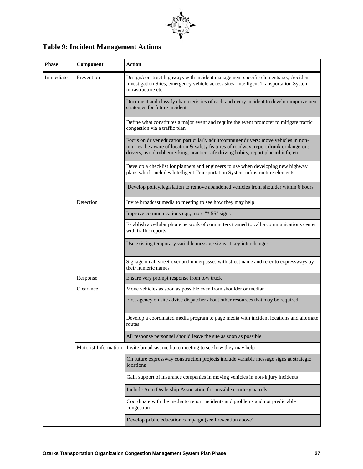

# **Table 9: Incident Management Actions**

| <b>Phase</b> | Component            | <b>Action</b>                                                                                                                                                                                                                                                           |
|--------------|----------------------|-------------------------------------------------------------------------------------------------------------------------------------------------------------------------------------------------------------------------------------------------------------------------|
| Immediate    | Prevention           | Design/construct highways with incident management specific elements i.e., Accident<br>Investigation Sites, emergency vehicle access sites, Intelligent Transportation System<br>infrastructure etc.                                                                    |
|              |                      | Document and classify characteristics of each and every incident to develop improvement<br>strategies for future incidents                                                                                                                                              |
|              |                      | Define what constitutes a major event and require the event promoter to mitigate traffic<br>congestion via a traffic plan                                                                                                                                               |
|              |                      | Focus on driver education particularly adult/commuter drivers: move vehicles in non-<br>injuries, be aware of location & safety features of roadway, report drunk or dangerous<br>drivers, avoid rubbernecking, practice safe driving habits, report placard info, etc. |
|              |                      | Develop a checklist for planners and engineers to use when developing new highway<br>plans which includes Intelligent Transportation System infrastructure elements                                                                                                     |
|              |                      | Develop policy/legislation to remove abandoned vehicles from shoulder within 6 hours                                                                                                                                                                                    |
|              | Detection            | Invite broadcast media to meeting to see how they may help                                                                                                                                                                                                              |
|              |                      | Improve communications e.g., more "* 55" signs                                                                                                                                                                                                                          |
|              |                      | Establish a cellular phone network of commuters trained to call a communications center<br>with traffic reports                                                                                                                                                         |
|              |                      | Use existing temporary variable message signs at key interchanges                                                                                                                                                                                                       |
|              |                      | Signage on all street over and underpasses with street name and refer to expressways by<br>their numeric names                                                                                                                                                          |
|              | Response             | Ensure very prompt response from tow truck                                                                                                                                                                                                                              |
|              | Clearance            | Move vehicles as soon as possible even from shoulder or median                                                                                                                                                                                                          |
|              |                      | First agency on site advise dispatcher about other resources that may be required                                                                                                                                                                                       |
|              |                      | Develop a coordinated media program to page media with incident locations and alternate<br>routes                                                                                                                                                                       |
|              |                      | All response personnel should leave the site as soon as possible                                                                                                                                                                                                        |
|              | Motorist Information | Invite broadcast media to meeting to see how they may help                                                                                                                                                                                                              |
|              |                      | On future expressway construction projects include variable message signs at strategic<br>locations                                                                                                                                                                     |
|              |                      | Gain support of insurance companies in moving vehicles in non-injury incidents                                                                                                                                                                                          |
|              |                      | Include Auto Dealership Association for possible courtesy patrols                                                                                                                                                                                                       |
|              |                      | Coordinate with the media to report incidents and problems and not predictable<br>congestion                                                                                                                                                                            |
|              |                      | Develop public education campaign (see Prevention above)                                                                                                                                                                                                                |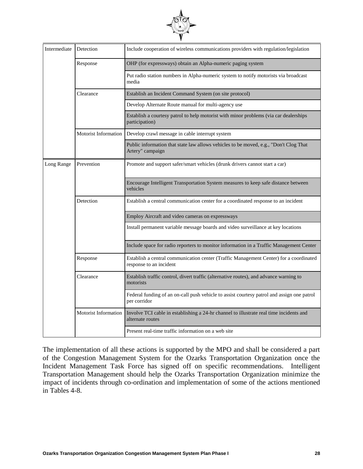

| Intermediate | Detection            | Include cooperation of wireless communications providers with regulation/legislation                              |
|--------------|----------------------|-------------------------------------------------------------------------------------------------------------------|
|              | Response             | OHP (for expressways) obtain an Alpha-numeric paging system                                                       |
|              |                      | Put radio station numbers in Alpha-numeric system to notify motorists via broadcast<br>media                      |
|              | Clearance            | Establish an Incident Command System (on site protocol)                                                           |
|              |                      | Develop Alternate Route manual for multi-agency use                                                               |
|              |                      | Establish a courtesy patrol to help motorist with minor problems (via car dealerships<br>participation)           |
|              | Motorist Information | Develop crawl message in cable interrupt system                                                                   |
|              |                      | Public information that state law allows vehicles to be moved, e.g., "Don't Clog That<br>Artery" campaign         |
| Long Range   | Prevention           | Promote and support safer/smart vehicles (drunk drivers cannot start a car)                                       |
|              |                      | Encourage Intelligent Transportation System measures to keep safe distance between<br>vehicles                    |
|              | Detection            | Establish a central communication center for a coordinated response to an incident                                |
|              |                      | Employ Aircraft and video cameras on expressways                                                                  |
|              |                      | Install permanent variable message boards and video surveillance at key locations                                 |
|              |                      | Include space for radio reporters to monitor information in a Traffic Management Center                           |
|              | Response             | Establish a central communication center (Traffic Management Center) for a coordinated<br>response to an incident |
|              | Clearance            | Establish traffic control, divert traffic (alternative routes), and advance warning to<br>motorists               |
|              |                      | Federal funding of an on-call push vehicle to assist courtesy patrol and assign one patrol<br>per corridor        |
|              | Motorist Information | Involve TCI cable in establishing a 24-hr channel to illustrate real time incidents and<br>alternate routes       |
|              |                      | Present real-time traffic information on a web site                                                               |

The implementation of all these actions is supported by the MPO and shall be considered a part of the Congestion Management System for the Ozarks Transportation Organization once the Incident Management Task Force has signed off on specific recommendations. Intelligent Transportation Management should help the Ozarks Transportation Organization minimize the impact of incidents through co-ordination and implementation of some of the actions mentioned in Tables 4-8.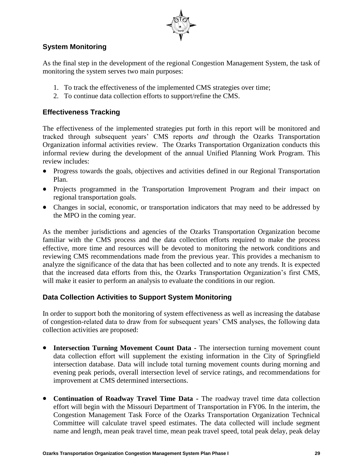

# **System Monitoring**

As the final step in the development of the regional Congestion Management System, the task of monitoring the system serves two main purposes:

- 1. To track the effectiveness of the implemented CMS strategies over time;
- 2. To continue data collection efforts to support/refine the CMS.

## **Effectiveness Tracking**

The effectiveness of the implemented strategies put forth in this report will be monitored and tracked through subsequent years' CMS reports *and* through the Ozarks Transportation Organization informal activities review. The Ozarks Transportation Organization conducts this informal review during the development of the annual Unified Planning Work Program. This review includes:

- Progress towards the goals, objectives and activities defined in our Regional Transportation Plan.
- Projects programmed in the Transportation Improvement Program and their impact on regional transportation goals.
- Changes in social, economic, or transportation indicators that may need to be addressed by the MPO in the coming year.

As the member jurisdictions and agencies of the Ozarks Transportation Organization become familiar with the CMS process and the data collection efforts required to make the process effective, more time and resources will be devoted to monitoring the network conditions and reviewing CMS recommendations made from the previous year. This provides a mechanism to analyze the significance of the data that has been collected and to note any trends. It is expected that the increased data efforts from this, the Ozarks Transportation Organization's first CMS, will make it easier to perform an analysis to evaluate the conditions in our region.

### **Data Collection Activities to Support System Monitoring**

In order to support both the monitoring of system effectiveness as well as increasing the database of congestion-related data to draw from for subsequent years' CMS analyses, the following data collection activities are proposed:

- **Intersection Turning Movement Count Data -** The intersection turning movement count data collection effort will supplement the existing information in the City of Springfield intersection database. Data will include total turning movement counts during morning and evening peak periods, overall intersection level of service ratings, and recommendations for improvement at CMS determined intersections.
- **Continuation of Roadway Travel Time Data -** The roadway travel time data collection effort will begin with the Missouri Department of Transportation in FY06. In the interim, the Congestion Management Task Force of the Ozarks Transportation Organization Technical Committee will calculate travel speed estimates. The data collected will include segment name and length, mean peak travel time, mean peak travel speed, total peak delay, peak delay